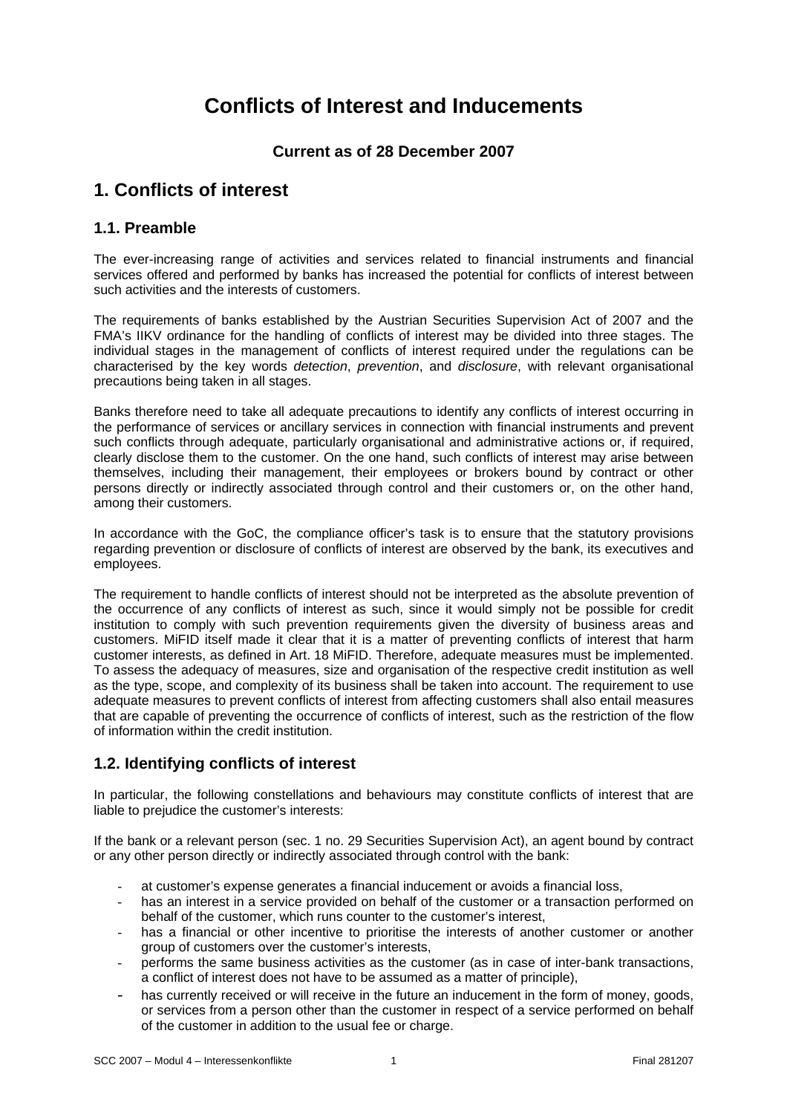# **Conflicts of Interest and Inducements**

# **Current as of 28 December 2007**

# **1. Conflicts of interest**

### **1.1. Preamble**

The ever-increasing range of activities and services related to financial instruments and financial services offered and performed by banks has increased the potential for conflicts of interest between such activities and the interests of customers.

The requirements of banks established by the Austrian Securities Supervision Act of 2007 and the FMA's IIKV ordinance for the handling of conflicts of interest may be divided into three stages. The individual stages in the management of conflicts of interest required under the regulations can be characterised by the key words *detection*, *prevention*, and *disclosure*, with relevant organisational precautions being taken in all stages.

Banks therefore need to take all adequate precautions to identify any conflicts of interest occurring in the performance of services or ancillary services in connection with financial instruments and prevent such conflicts through adequate, particularly organisational and administrative actions or, if required, clearly disclose them to the customer. On the one hand, such conflicts of interest may arise between themselves, including their management, their employees or brokers bound by contract or other persons directly or indirectly associated through control and their customers or, on the other hand, among their customers.

In accordance with the GoC, the compliance officer's task is to ensure that the statutory provisions regarding prevention or disclosure of conflicts of interest are observed by the bank, its executives and employees.

The requirement to handle conflicts of interest should not be interpreted as the absolute prevention of the occurrence of any conflicts of interest as such, since it would simply not be possible for credit institution to comply with such prevention requirements given the diversity of business areas and customers. MiFID itself made it clear that it is a matter of preventing conflicts of interest that harm customer interests, as defined in Art. 18 MiFID. Therefore, adequate measures must be implemented. To assess the adequacy of measures, size and organisation of the respective credit institution as well as the type, scope, and complexity of its business shall be taken into account. The requirement to use adequate measures to prevent conflicts of interest from affecting customers shall also entail measures that are capable of preventing the occurrence of conflicts of interest, such as the restriction of the flow of information within the credit institution.

# **1.2. Identifying conflicts of interest**

In particular, the following constellations and behaviours may constitute conflicts of interest that are liable to prejudice the customer's interests:

If the bank or a relevant person (sec. 1 no. 29 Securities Supervision Act), an agent bound by contract or any other person directly or indirectly associated through control with the bank:

- at customer's expense generates a financial inducement or avoids a financial loss,
- has an interest in a service provided on behalf of the customer or a transaction performed on behalf of the customer, which runs counter to the customer's interest,
- has a financial or other incentive to prioritise the interests of another customer or another group of customers over the customer's interests,
- performs the same business activities as the customer (as in case of inter-bank transactions, a conflict of interest does not have to be assumed as a matter of principle),
- has currently received or will receive in the future an inducement in the form of money, goods, or services from a person other than the customer in respect of a service performed on behalf of the customer in addition to the usual fee or charge.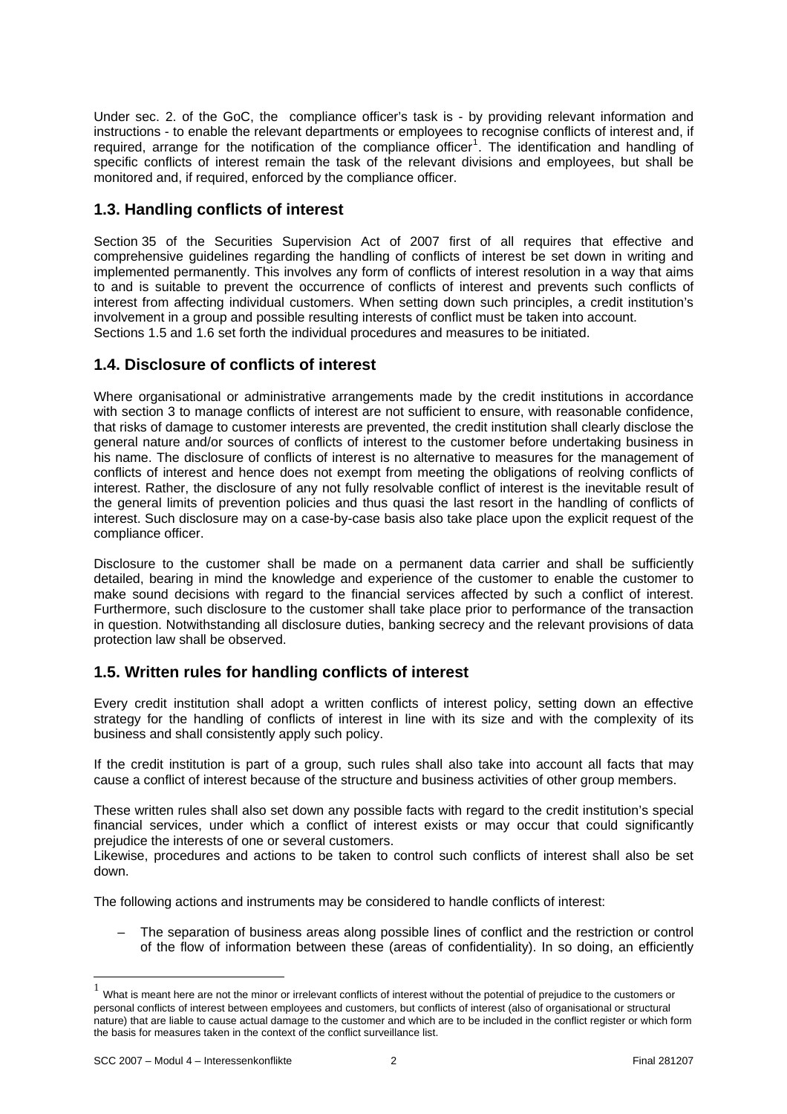Under sec. 2. of the GoC, the compliance officer's task is - by providing relevant information and instructions - to enable the relevant departments or employees to recognise conflicts of interest and, if required, arrange for the notification of the compliance officer<sup>1</sup>. The identification and handling of specific conflicts of interest remain the task of the relevant divisions and employees, but shall be monitored and, if required, enforced by the compliance officer.

# **1.3. Handling conflicts of interest**

Section 35 of the Securities Supervision Act of 2007 first of all requires that effective and comprehensive guidelines regarding the handling of conflicts of interest be set down in writing and implemented permanently. This involves any form of conflicts of interest resolution in a way that aims to and is suitable to prevent the occurrence of conflicts of interest and prevents such conflicts of interest from affecting individual customers. When setting down such principles, a credit institution's involvement in a group and possible resulting interests of conflict must be taken into account. Sections 1.5 and 1.6 set forth the individual procedures and measures to be initiated.

# **1.4. Disclosure of conflicts of interest**

Where organisational or administrative arrangements made by the credit institutions in accordance with section 3 to manage conflicts of interest are not sufficient to ensure, with reasonable confidence, that risks of damage to customer interests are prevented, the credit institution shall clearly disclose the general nature and/or sources of conflicts of interest to the customer before undertaking business in his name. The disclosure of conflicts of interest is no alternative to measures for the management of conflicts of interest and hence does not exempt from meeting the obligations of reolving conflicts of interest. Rather, the disclosure of any not fully resolvable conflict of interest is the inevitable result of the general limits of prevention policies and thus quasi the last resort in the handling of conflicts of interest. Such disclosure may on a case-by-case basis also take place upon the explicit request of the compliance officer.

Disclosure to the customer shall be made on a permanent data carrier and shall be sufficiently detailed, bearing in mind the knowledge and experience of the customer to enable the customer to make sound decisions with regard to the financial services affected by such a conflict of interest. Furthermore, such disclosure to the customer shall take place prior to performance of the transaction in question. Notwithstanding all disclosure duties, banking secrecy and the relevant provisions of data protection law shall be observed.

# **1.5. Written rules for handling conflicts of interest**

Every credit institution shall adopt a written conflicts of interest policy, setting down an effective strategy for the handling of conflicts of interest in line with its size and with the complexity of its business and shall consistently apply such policy.

If the credit institution is part of a group, such rules shall also take into account all facts that may cause a conflict of interest because of the structure and business activities of other group members.

These written rules shall also set down any possible facts with regard to the credit institution's special financial services, under which a conflict of interest exists or may occur that could significantly prejudice the interests of one or several customers.

Likewise, procedures and actions to be taken to control such conflicts of interest shall also be set down.

The following actions and instruments may be considered to handle conflicts of interest:

– The separation of business areas along possible lines of conflict and the restriction or control of the flow of information between these (areas of confidentiality). In so doing, an efficiently

 $\overline{a}$ 

What is meant here are not the minor or irrelevant conflicts of interest without the potential of prejudice to the customers or personal conflicts of interest between employees and customers, but conflicts of interest (also of organisational or structural nature) that are liable to cause actual damage to the customer and which are to be included in the conflict register or which form the basis for measures taken in the context of the conflict surveillance list.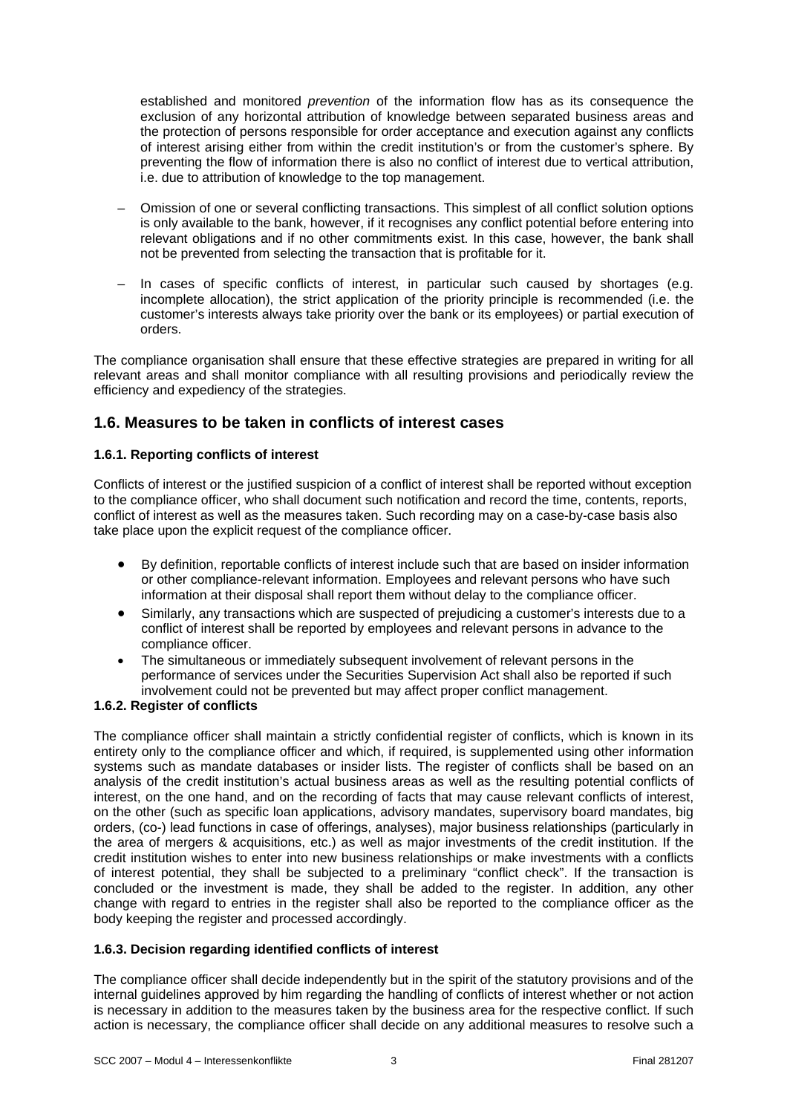established and monitored *prevention* of the information flow has as its consequence the exclusion of any horizontal attribution of knowledge between separated business areas and the protection of persons responsible for order acceptance and execution against any conflicts of interest arising either from within the credit institution's or from the customer's sphere. By preventing the flow of information there is also no conflict of interest due to vertical attribution, i.e. due to attribution of knowledge to the top management.

- Omission of one or several conflicting transactions. This simplest of all conflict solution options is only available to the bank, however, if it recognises any conflict potential before entering into relevant obligations and if no other commitments exist. In this case, however, the bank shall not be prevented from selecting the transaction that is profitable for it.
- In cases of specific conflicts of interest, in particular such caused by shortages (e.g. incomplete allocation), the strict application of the priority principle is recommended (i.e. the customer's interests always take priority over the bank or its employees) or partial execution of orders.

The compliance organisation shall ensure that these effective strategies are prepared in writing for all relevant areas and shall monitor compliance with all resulting provisions and periodically review the efficiency and expediency of the strategies.

### **1.6. Measures to be taken in conflicts of interest cases**

#### **1.6.1. Reporting conflicts of interest**

Conflicts of interest or the justified suspicion of a conflict of interest shall be reported without exception to the compliance officer, who shall document such notification and record the time, contents, reports, conflict of interest as well as the measures taken. Such recording may on a case-by-case basis also take place upon the explicit request of the compliance officer.

- By definition, reportable conflicts of interest include such that are based on insider information or other compliance-relevant information. Employees and relevant persons who have such information at their disposal shall report them without delay to the compliance officer.
- Similarly, any transactions which are suspected of prejudicing a customer's interests due to a conflict of interest shall be reported by employees and relevant persons in advance to the compliance officer.
- The simultaneous or immediately subsequent involvement of relevant persons in the performance of services under the Securities Supervision Act shall also be reported if such involvement could not be prevented but may affect proper conflict management.

#### **1.6.2. Register of conflicts**

The compliance officer shall maintain a strictly confidential register of conflicts, which is known in its entirety only to the compliance officer and which, if required, is supplemented using other information systems such as mandate databases or insider lists. The register of conflicts shall be based on an analysis of the credit institution's actual business areas as well as the resulting potential conflicts of interest, on the one hand, and on the recording of facts that may cause relevant conflicts of interest, on the other (such as specific loan applications, advisory mandates, supervisory board mandates, big orders, (co-) lead functions in case of offerings, analyses), major business relationships (particularly in the area of mergers & acquisitions, etc.) as well as major investments of the credit institution. If the credit institution wishes to enter into new business relationships or make investments with a conflicts of interest potential, they shall be subjected to a preliminary "conflict check". If the transaction is concluded or the investment is made, they shall be added to the register. In addition, any other change with regard to entries in the register shall also be reported to the compliance officer as the body keeping the register and processed accordingly.

#### **1.6.3. Decision regarding identified conflicts of interest**

The compliance officer shall decide independently but in the spirit of the statutory provisions and of the internal guidelines approved by him regarding the handling of conflicts of interest whether or not action is necessary in addition to the measures taken by the business area for the respective conflict. If such action is necessary, the compliance officer shall decide on any additional measures to resolve such a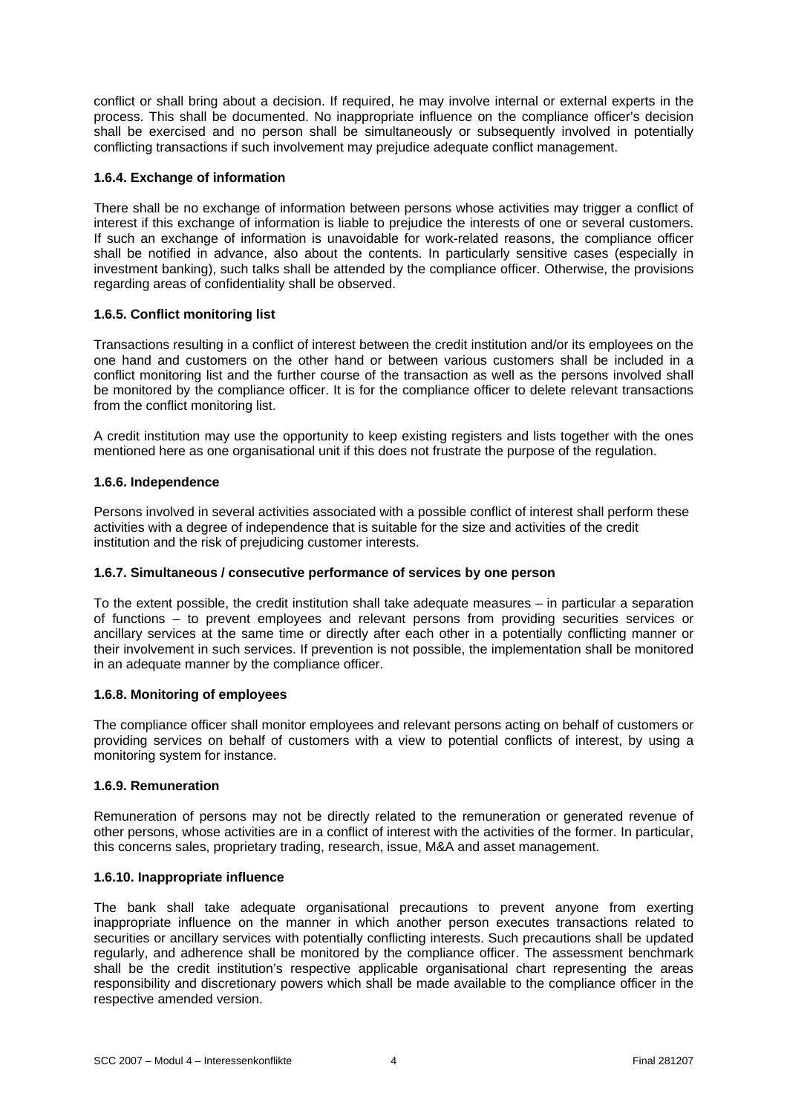conflict or shall bring about a decision. If required, he may involve internal or external experts in the process. This shall be documented. No inappropriate influence on the compliance officer's decision shall be exercised and no person shall be simultaneously or subsequently involved in potentially conflicting transactions if such involvement may prejudice adequate conflict management.

#### **1.6.4. Exchange of information**

There shall be no exchange of information between persons whose activities may trigger a conflict of interest if this exchange of information is liable to prejudice the interests of one or several customers. If such an exchange of information is unavoidable for work-related reasons, the compliance officer shall be notified in advance, also about the contents. In particularly sensitive cases (especially in investment banking), such talks shall be attended by the compliance officer. Otherwise, the provisions regarding areas of confidentiality shall be observed.

#### **1.6.5. Conflict monitoring list**

Transactions resulting in a conflict of interest between the credit institution and/or its employees on the one hand and customers on the other hand or between various customers shall be included in a conflict monitoring list and the further course of the transaction as well as the persons involved shall be monitored by the compliance officer. It is for the compliance officer to delete relevant transactions from the conflict monitoring list.

A credit institution may use the opportunity to keep existing registers and lists together with the ones mentioned here as one organisational unit if this does not frustrate the purpose of the regulation.

#### **1.6.6. Independence**

Persons involved in several activities associated with a possible conflict of interest shall perform these activities with a degree of independence that is suitable for the size and activities of the credit institution and the risk of prejudicing customer interests.

#### **1.6.7. Simultaneous / consecutive performance of services by one person**

To the extent possible, the credit institution shall take adequate measures – in particular a separation of functions – to prevent employees and relevant persons from providing securities services or ancillary services at the same time or directly after each other in a potentially conflicting manner or their involvement in such services. If prevention is not possible, the implementation shall be monitored in an adequate manner by the compliance officer.

#### **1.6.8. Monitoring of employees**

The compliance officer shall monitor employees and relevant persons acting on behalf of customers or providing services on behalf of customers with a view to potential conflicts of interest, by using a monitoring system for instance.

#### **1.6.9. Remuneration**

Remuneration of persons may not be directly related to the remuneration or generated revenue of other persons, whose activities are in a conflict of interest with the activities of the former. In particular, this concerns sales, proprietary trading, research, issue, M&A and asset management.

#### **1.6.10. Inappropriate influence**

The bank shall take adequate organisational precautions to prevent anyone from exerting inappropriate influence on the manner in which another person executes transactions related to securities or ancillary services with potentially conflicting interests. Such precautions shall be updated regularly, and adherence shall be monitored by the compliance officer. The assessment benchmark shall be the credit institution's respective applicable organisational chart representing the areas responsibility and discretionary powers which shall be made available to the compliance officer in the respective amended version.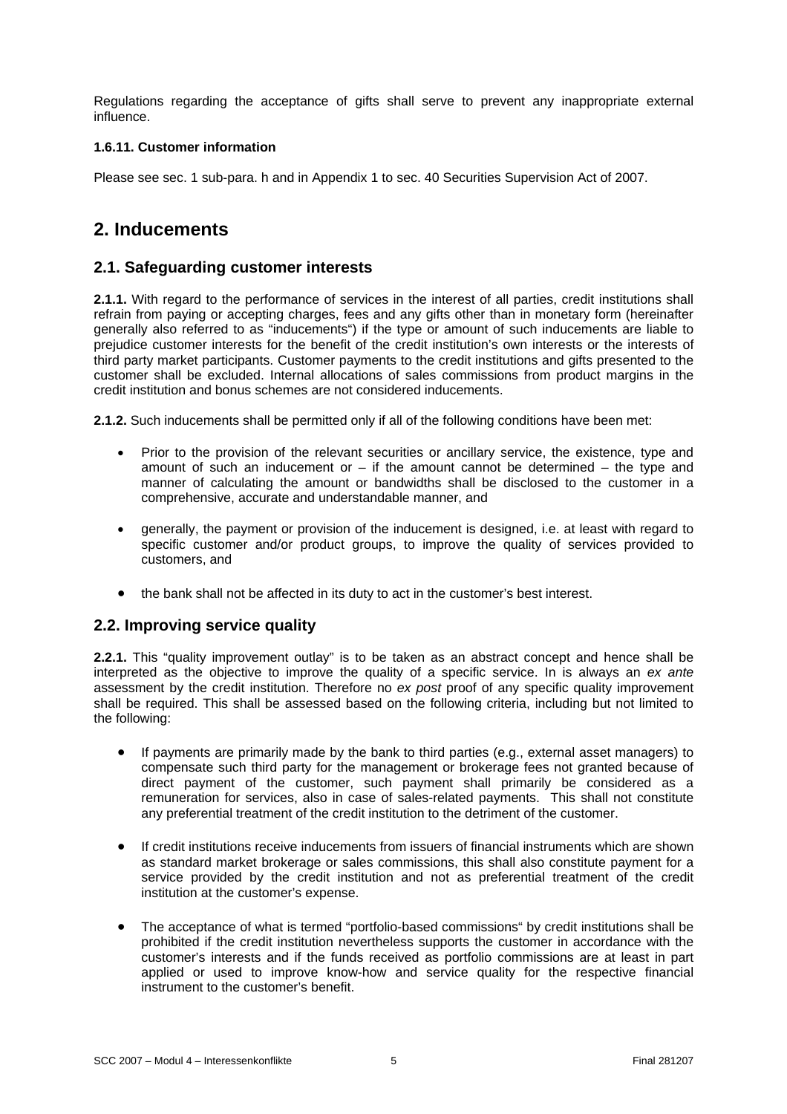Regulations regarding the acceptance of gifts shall serve to prevent any inappropriate external influence.

#### **1.6.11. Customer information**

Please see sec. 1 sub-para. h and in Appendix 1 to sec. 40 Securities Supervision Act of 2007.

# **2. Inducements**

### **2.1. Safeguarding customer interests**

**2.1.1.** With regard to the performance of services in the interest of all parties, credit institutions shall refrain from paying or accepting charges, fees and any gifts other than in monetary form (hereinafter generally also referred to as "inducements") if the type or amount of such inducements are liable to prejudice customer interests for the benefit of the credit institution's own interests or the interests of third party market participants. Customer payments to the credit institutions and gifts presented to the customer shall be excluded. Internal allocations of sales commissions from product margins in the credit institution and bonus schemes are not considered inducements.

**2.1.2.** Such inducements shall be permitted only if all of the following conditions have been met:

- Prior to the provision of the relevant securities or ancillary service, the existence, type and amount of such an inducement or  $-$  if the amount cannot be determined  $-$  the type and manner of calculating the amount or bandwidths shall be disclosed to the customer in a comprehensive, accurate and understandable manner, and
- generally, the payment or provision of the inducement is designed, i.e. at least with regard to specific customer and/or product groups, to improve the quality of services provided to customers, and
- the bank shall not be affected in its duty to act in the customer's best interest.

### **2.2. Improving service quality**

**2.2.1.** This "quality improvement outlay" is to be taken as an abstract concept and hence shall be interpreted as the objective to improve the quality of a specific service. In is always an *ex ante*  assessment by the credit institution. Therefore no *ex post* proof of any specific quality improvement shall be required. This shall be assessed based on the following criteria, including but not limited to the following:

- If payments are primarily made by the bank to third parties (e.g., external asset managers) to compensate such third party for the management or brokerage fees not granted because of direct payment of the customer, such payment shall primarily be considered as a remuneration for services, also in case of sales-related payments. This shall not constitute any preferential treatment of the credit institution to the detriment of the customer.
- If credit institutions receive inducements from issuers of financial instruments which are shown as standard market brokerage or sales commissions, this shall also constitute payment for a service provided by the credit institution and not as preferential treatment of the credit institution at the customer's expense.
- The acceptance of what is termed "portfolio-based commissions" by credit institutions shall be prohibited if the credit institution nevertheless supports the customer in accordance with the customer's interests and if the funds received as portfolio commissions are at least in part applied or used to improve know-how and service quality for the respective financial instrument to the customer's benefit.